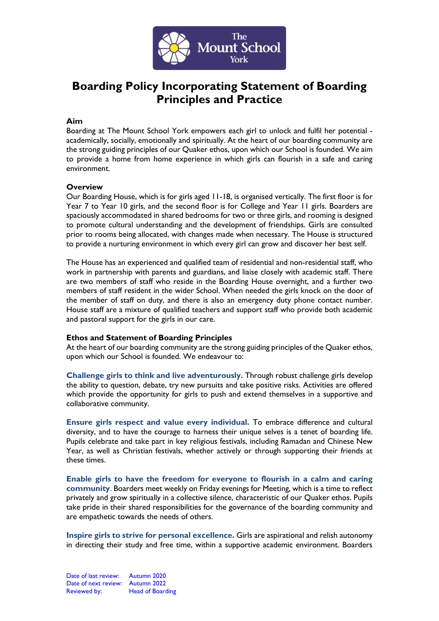

# **Boarding Policy Incorporating Statement of Boarding Principles and Practice**

#### **Aim**

Boarding at The Mount School York empowers each girl to unlock and fulfil her potential academically, socially, emotionally and spiritually. At the heart of our boarding community are the strong guiding principles of our Quaker ethos, upon which our School is founded. We aim to provide a home from home experience in which girls can flourish in a safe and caring environment.

#### **Overview**

Our Boarding House, which is for girls aged 11-18, is organised vertically. The first floor is for Year 7 to Year 10 girls, and the second floor is for College and Year 11 girls. Boarders are spaciously accommodated in shared bedrooms for two or three girls, and rooming is designed to promote cultural understanding and the development of friendships. Girls are consulted prior to rooms being allocated, with changes made when necessary. The House is structured to provide a nurturing environment in which every girl can grow and discover her best self.

The House has an experienced and qualified team of residential and non-residential staff, who work in partnership with parents and guardians, and liaise closely with academic staff. There are two members of staff who reside in the Boarding House overnight, and a further two members of staff resident in the wider School. When needed the girls knock on the door of the member of staff on duty, and there is also an emergency duty phone contact number. House staff are a mixture of qualified teachers and support staff who provide both academic and pastoral support for the girls in our care.

## **Ethos and Statement of Boarding Principles**

At the heart of our boarding community are the strong guiding principles of the Quaker ethos, upon which our School is founded. We endeavour to:

**Challenge girls to think and live adventurously.** Through robust challenge girls develop the ability to question, debate, try new pursuits and take positive risks. Activities are offered which provide the opportunity for girls to push and extend themselves in a supportive and collaborative community.

**Ensure girls respect and value every individual.** To embrace difference and cultural diversity, and to have the courage to harness their unique selves is a tenet of boarding life. Pupils celebrate and take part in key religious festivals, including Ramadan and Chinese New Year, as well as Christian festivals, whether actively or through supporting their friends at these times.

**Enable girls to have the freedom for everyone to flourish in a calm and caring community**. Boarders meet weekly on Friday evenings for Meeting, which is a time to reflect privately and grow spiritually in a collective silence, characteristic of our Quaker ethos. Pupils take pride in their shared responsibilities for the governance of the boarding community and are empathetic towards the needs of others.

**Inspire girls to strive for personal excellence.** Girls are aspirational and relish autonomy in directing their study and free time, within a supportive academic environment. Boarders

Date of last review: Autumn 2020 Date of next review: Autumn 2022 Reviewed by: Head of Boarding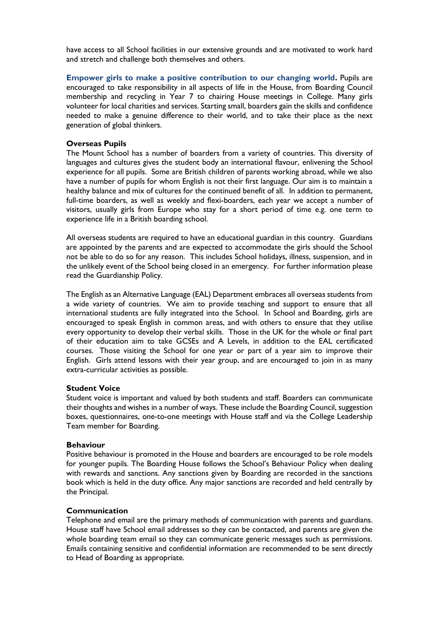have access to all School facilities in our extensive grounds and are motivated to work hard and stretch and challenge both themselves and others.

**Empower girls to make a positive contribution to our changing world.** Pupils are encouraged to take responsibility in all aspects of life in the House, from Boarding Council membership and recycling in Year 7 to chairing House meetings in College. Many girls volunteer for local charities and services. Starting small, boarders gain the skills and confidence needed to make a genuine difference to their world, and to take their place as the next generation of global thinkers.

## **Overseas Pupils**

The Mount School has a number of boarders from a variety of countries. This diversity of languages and cultures gives the student body an international flavour, enlivening the School experience for all pupils. Some are British children of parents working abroad, while we also have a number of pupils for whom English is not their first language. Our aim is to maintain a healthy balance and mix of cultures for the continued benefit of all. In addition to permanent, full-time boarders, as well as weekly and flexi-boarders, each year we accept a number of visitors, usually girls from Europe who stay for a short period of time e.g. one term to experience life in a British boarding school.

All overseas students are required to have an educational guardian in this country. Guardians are appointed by the parents and are expected to accommodate the girls should the School not be able to do so for any reason. This includes School holidays, illness, suspension, and in the unlikely event of the School being closed in an emergency. For further information please read the Guardianship Policy.

The English as an Alternative Language (EAL) Department embraces all overseas students from a wide variety of countries. We aim to provide teaching and support to ensure that all international students are fully integrated into the School. In School and Boarding, girls are encouraged to speak English in common areas, and with others to ensure that they utilise every opportunity to develop their verbal skills. Those in the UK for the whole or final part of their education aim to take GCSEs and A Levels, in addition to the EAL certificated courses. Those visiting the School for one year or part of a year aim to improve their English. Girls attend lessons with their year group, and are encouraged to join in as many extra-curricular activities as possible.

## **Student Voice**

Student voice is important and valued by both students and staff. Boarders can communicate their thoughts and wishes in a number of ways. These include the Boarding Council, suggestion boxes, questionnaires, one-to-one meetings with House staff and via the College Leadership Team member for Boarding.

## **Behaviour**

Positive behaviour is promoted in the House and boarders are encouraged to be role models for younger pupils. The Boarding House follows the School's Behaviour Policy when dealing with rewards and sanctions. Any sanctions given by Boarding are recorded in the sanctions book which is held in the duty office. Any major sanctions are recorded and held centrally by the Principal.

## **Communication**

Telephone and email are the primary methods of communication with parents and guardians. House staff have School email addresses so they can be contacted, and parents are given the whole boarding team email so they can communicate generic messages such as permissions. Emails containing sensitive and confidential information are recommended to be sent directly to Head of Boarding as appropriate.